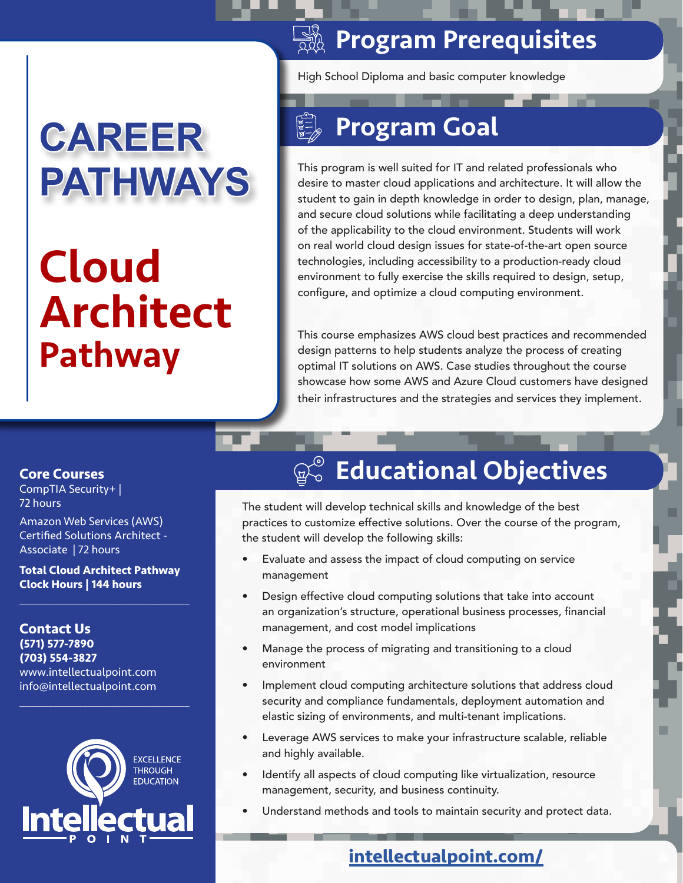# **CAREER PATHWAYS**

# Cloud Architect Pathway

### **SASE Program Prerequisites**

High School Diploma and basic computer knowledge

## Program Goal

This program is well suited for IT and related professionals who desire to master cloud applications and architecture. It will allow the student to gain in depth knowledge in order to design, plan, manage, and secure cloud solutions while facilitating a deep understanding of the applicability to the cloud environment. Students will work on real world cloud design issues for state-of-the-art open source technologies, including accessibility to a production-ready cloud environment to fully exercise the skills required to design, setup, configure, and optimize a cloud computing environment.

This course emphasizes AWS cloud best practices and recommended design patterns to help students analyze the process of creating optimal IT solutions on AWS. Case studies throughout the course showcase how some AWS and Azure Cloud customers have designed their infrastructures and the strategies and services they implement.

#### **Core Courses**

CompTIA Security+ | 72 hours

Amazon Web Services (AWS) Certified Solutions Architect - Associate | 72 hours

**Total Cloud Architect Pathway Clock Hours | 144 hours**

 $\overline{\mathcal{L}}$  , and the set of the set of the set of the set of the set of the set of the set of the set of the set of the set of the set of the set of the set of the set of the set of the set of the set of the set of the s

**Contact Us (571) 577-7890 (703) 554-3827** www.intellectualpoint.com info@intellectualpoint.com



 $\overline{\mathcal{L}}$  , and the set of the set of the set of the set of the set of the set of the set of the set of the set of the set of the set of the set of the set of the set of the set of the set of the set of the set of the s

## **Educational Objectives**

The student will develop technical skills and knowledge of the best practices to customize effective solutions. Over the course of the program, the student will develop the following skills:

- Evaluate and assess the impact of cloud computing on service management
- Design effective cloud computing solutions that take into account an organization's structure, operational business processes, financial management, and cost model implications
- Manage the process of migrating and transitioning to a cloud environment
- Implement cloud computing architecture solutions that address cloud security and compliance fundamentals, deployment automation and elastic sizing of environments, and multi-tenant implications.
- Leverage AWS services to make your infrastructure scalable, reliable and highly available.
- Identify all aspects of cloud computing like virtualization, resource management, security, and business continuity.
- Understand methods and tools to maintain security and protect data.

#### **[intellectualpoint.com/](https://intellectualpoint.com/)**